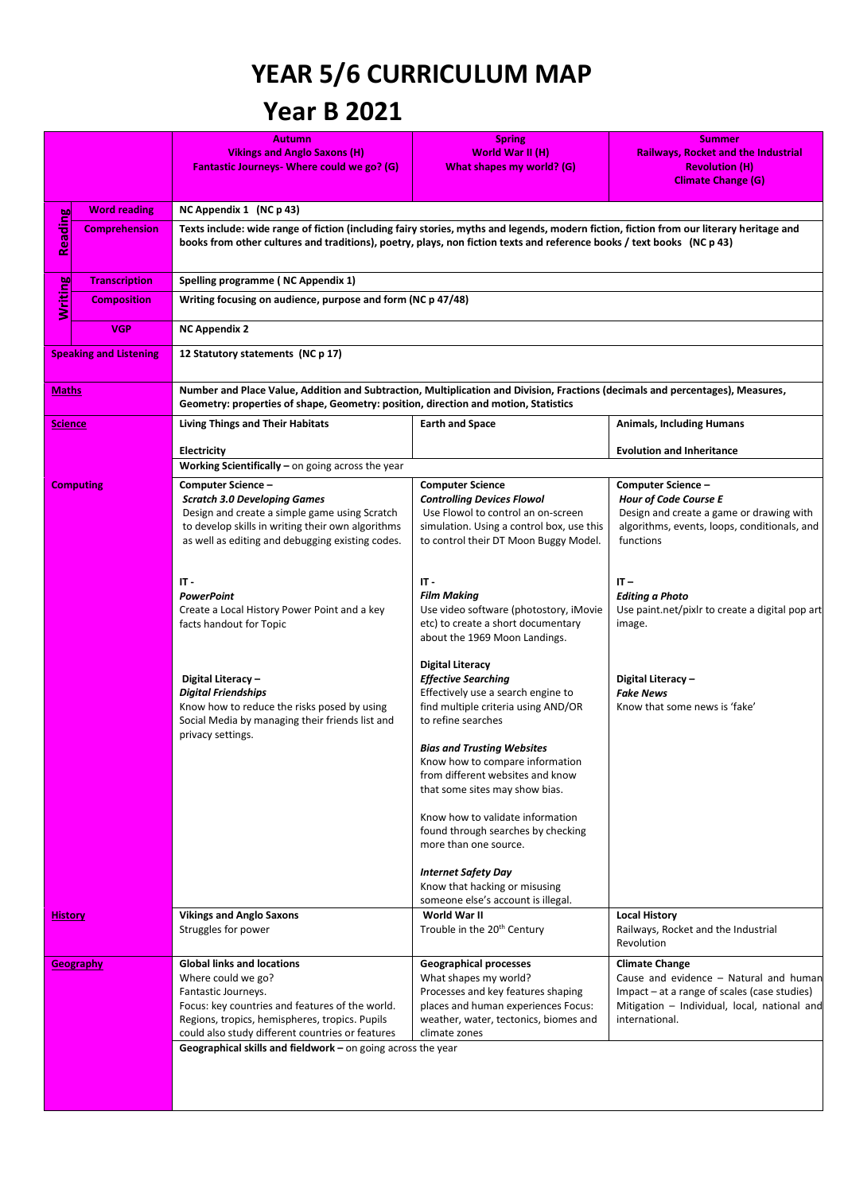## **YEAR 5/6 CURRICULUM MAP**

## **Year B 2021**

|                               |                      | <b>Autumn</b>                                                                                                                                                                                                         | <b>Spring</b>                                                             | <b>Summer</b>                                                                          |  |  |  |  |  |
|-------------------------------|----------------------|-----------------------------------------------------------------------------------------------------------------------------------------------------------------------------------------------------------------------|---------------------------------------------------------------------------|----------------------------------------------------------------------------------------|--|--|--|--|--|
|                               |                      | <b>Vikings and Anglo Saxons (H)</b><br>Fantastic Journeys- Where could we go? (G)                                                                                                                                     | World War II (H)<br>What shapes my world? (G)                             | <b>Railways, Rocket and the Industrial</b><br><b>Revolution (H)</b>                    |  |  |  |  |  |
|                               |                      |                                                                                                                                                                                                                       |                                                                           | <b>Climate Change (G)</b>                                                              |  |  |  |  |  |
|                               | <b>Word reading</b>  | NC Appendix 1 (NC p 43)                                                                                                                                                                                               |                                                                           |                                                                                        |  |  |  |  |  |
|                               | <b>Comprehension</b> | Texts include: wide range of fiction (including fairy stories, myths and legends, modern fiction, fiction from our literary heritage and                                                                              |                                                                           |                                                                                        |  |  |  |  |  |
| <b>Reading</b>                |                      | books from other cultures and traditions), poetry, plays, non fiction texts and reference books / text books (NC p 43)                                                                                                |                                                                           |                                                                                        |  |  |  |  |  |
|                               | <b>Transcription</b> | Spelling programme (NC Appendix 1)                                                                                                                                                                                    |                                                                           |                                                                                        |  |  |  |  |  |
| <b>Writing</b>                | <b>Composition</b>   | Writing focusing on audience, purpose and form (NC p 47/48)                                                                                                                                                           |                                                                           |                                                                                        |  |  |  |  |  |
|                               | <b>VGP</b>           | <b>NC Appendix 2</b>                                                                                                                                                                                                  |                                                                           |                                                                                        |  |  |  |  |  |
| <b>Speaking and Listening</b> |                      | 12 Statutory statements (NC p 17)                                                                                                                                                                                     |                                                                           |                                                                                        |  |  |  |  |  |
| <b>Maths</b>                  |                      | Number and Place Value, Addition and Subtraction, Multiplication and Division, Fractions (decimals and percentages), Measures,<br>Geometry: properties of shape, Geometry: position, direction and motion, Statistics |                                                                           |                                                                                        |  |  |  |  |  |
| <b>Science</b>                |                      | <b>Living Things and Their Habitats</b>                                                                                                                                                                               | <b>Earth and Space</b>                                                    | <b>Animals, Including Humans</b>                                                       |  |  |  |  |  |
|                               |                      | <b>Electricity</b>                                                                                                                                                                                                    |                                                                           | <b>Evolution and Inheritance</b>                                                       |  |  |  |  |  |
|                               |                      | Working Scientifically $-$ on going across the year                                                                                                                                                                   |                                                                           |                                                                                        |  |  |  |  |  |
|                               | <b>Computing</b>     | Computer Science -                                                                                                                                                                                                    | <b>Computer Science</b>                                                   | Computer Science -                                                                     |  |  |  |  |  |
|                               |                      | <b>Scratch 3.0 Developing Games</b><br>Design and create a simple game using Scratch                                                                                                                                  | <b>Controlling Devices Flowol</b><br>Use Flowol to control an on-screen   | <b>Hour of Code Course E</b><br>Design and create a game or drawing with               |  |  |  |  |  |
|                               |                      | to develop skills in writing their own algorithms                                                                                                                                                                     | simulation. Using a control box, use this                                 | algorithms, events, loops, conditionals, and                                           |  |  |  |  |  |
|                               |                      | as well as editing and debugging existing codes.                                                                                                                                                                      | to control their DT Moon Buggy Model.                                     | functions                                                                              |  |  |  |  |  |
|                               |                      |                                                                                                                                                                                                                       |                                                                           |                                                                                        |  |  |  |  |  |
|                               |                      | $IT -$<br><b>PowerPoint</b>                                                                                                                                                                                           | IT -<br><b>Film Making</b>                                                | $IT -$<br><b>Editing a Photo</b>                                                       |  |  |  |  |  |
|                               |                      | Create a Local History Power Point and a key                                                                                                                                                                          | Use video software (photostory, iMovie                                    | Use paint.net/pixlr to create a digital pop art                                        |  |  |  |  |  |
|                               |                      | facts handout for Topic                                                                                                                                                                                               | etc) to create a short documentary<br>about the 1969 Moon Landings.       | image.                                                                                 |  |  |  |  |  |
|                               |                      |                                                                                                                                                                                                                       | <b>Digital Literacy</b>                                                   |                                                                                        |  |  |  |  |  |
|                               |                      | Digital Literacy -                                                                                                                                                                                                    | <b>Effective Searching</b>                                                | Digital Literacy -                                                                     |  |  |  |  |  |
|                               |                      | <b>Digital Friendships</b><br>Know how to reduce the risks posed by using                                                                                                                                             | Effectively use a search engine to<br>find multiple criteria using AND/OR | <b>Fake News</b><br>Know that some news is 'fake'                                      |  |  |  |  |  |
|                               |                      | Social Media by managing their friends list and<br>privacy settings.                                                                                                                                                  | to refine searches                                                        |                                                                                        |  |  |  |  |  |
|                               |                      |                                                                                                                                                                                                                       | <b>Bias and Trusting Websites</b>                                         |                                                                                        |  |  |  |  |  |
|                               |                      |                                                                                                                                                                                                                       | Know how to compare information<br>from different websites and know       |                                                                                        |  |  |  |  |  |
|                               |                      |                                                                                                                                                                                                                       | that some sites may show bias.                                            |                                                                                        |  |  |  |  |  |
|                               |                      |                                                                                                                                                                                                                       | Know how to validate information                                          |                                                                                        |  |  |  |  |  |
|                               |                      |                                                                                                                                                                                                                       | found through searches by checking                                        |                                                                                        |  |  |  |  |  |
|                               |                      |                                                                                                                                                                                                                       | more than one source.                                                     |                                                                                        |  |  |  |  |  |
|                               |                      |                                                                                                                                                                                                                       | <b>Internet Safety Day</b>                                                |                                                                                        |  |  |  |  |  |
|                               |                      |                                                                                                                                                                                                                       | Know that hacking or misusing<br>someone else's account is illegal.       |                                                                                        |  |  |  |  |  |
| <b>History</b>                |                      | <b>Vikings and Anglo Saxons</b>                                                                                                                                                                                       | World War II                                                              | <b>Local History</b>                                                                   |  |  |  |  |  |
|                               |                      | Struggles for power                                                                                                                                                                                                   | Trouble in the 20 <sup>th</sup> Century                                   | Railways, Rocket and the Industrial<br>Revolution                                      |  |  |  |  |  |
|                               | Geography            | <b>Global links and locations</b>                                                                                                                                                                                     | <b>Geographical processes</b>                                             | <b>Climate Change</b>                                                                  |  |  |  |  |  |
|                               |                      | Where could we go?<br>Fantastic Journeys.                                                                                                                                                                             | What shapes my world?<br>Processes and key features shaping               | Cause and evidence - Natural and human<br>Impact - at a range of scales (case studies) |  |  |  |  |  |
|                               |                      | Focus: key countries and features of the world.                                                                                                                                                                       | places and human experiences Focus:                                       | Mitigation - Individual, local, national and                                           |  |  |  |  |  |
|                               |                      | Regions, tropics, hemispheres, tropics. Pupils<br>could also study different countries or features                                                                                                                    | weather, water, tectonics, biomes and<br>climate zones                    | international.                                                                         |  |  |  |  |  |
|                               |                      | Geographical skills and fieldwork $-$ on going across the year                                                                                                                                                        |                                                                           |                                                                                        |  |  |  |  |  |
|                               |                      |                                                                                                                                                                                                                       |                                                                           |                                                                                        |  |  |  |  |  |
|                               |                      |                                                                                                                                                                                                                       |                                                                           |                                                                                        |  |  |  |  |  |
|                               |                      |                                                                                                                                                                                                                       |                                                                           |                                                                                        |  |  |  |  |  |